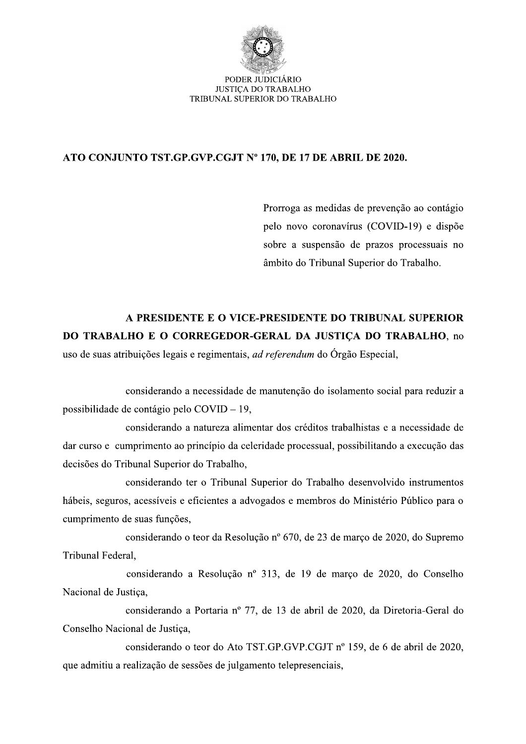

PODER JUDICIÁRIO<br>
PISTIÇA DO TRABALHO<br>
TRIBUNAL SUPERIOR DO TRABALHO<br>
TRIBUNAL SUPERIOR DO TRABALHO<br> **ATO CONJUNTO TST.GP.GVP.CGJT N° 170, DE 17 DE ABRIL DE 2020.**<br>
Prorroga as medidas de prevenção ao contágio<br>
pelo novo c Prorroga as medidas de prevenção ao contágio pelo novo coronavirus  $(COVID-19)$  e dispoe sobre a suspensão de prazos processuais no âmbito do Tribunal Superior do Trabalho.

# (COVID-19) e dispõe<br>sobre a suspensão de prazos processuais no<br>ambito do Tribunal Superior do Trabalho.<br>A PRESIDENTE E O VICE-PRESIDENTE DO TRIBUNAL SUPERIOR<br>DO TRABALHO E O CORREGEDOR-GERAL DA JUSTIÇA DO TRABALHO, no<br>uso

considerando a necessidade de manutenção do isolamento social para reduzir a possibilidade de contágio pelo COVID – 19,

considerando a natureza alimentar dos créditos trabalhistas e a necessidade de dar curso e cumprimento ao princípio da celeridade processual, possibilitando a execução das decisões do Tribunal Superior do Trabalho,

considerando ter o Tribunal Superior do Trabalho desenvolvido instrumentos hábeis, seguros, acessíveis e eficientes a advogados e membros do Ministério Público para o cumprimento de suas funções,

considerando o teor da Resolução nº 670, de 23 de março de 2020, do Supremo Tribunal Federal.

considerando a Resolução nº 313, de 19 de março de 2020, do Conselho Nacional de Justiça,

considerando a Portaria nº 77, de 13 de abril de 2020, da Diretoria-Geral do Conselho Nacional de Justiça,

considerando o teor do Ato TST.GP.GVP.CGJT nº 159, de 6 de abril de 2020, que admitiu a realização de sessões de julgamento telepresenciais,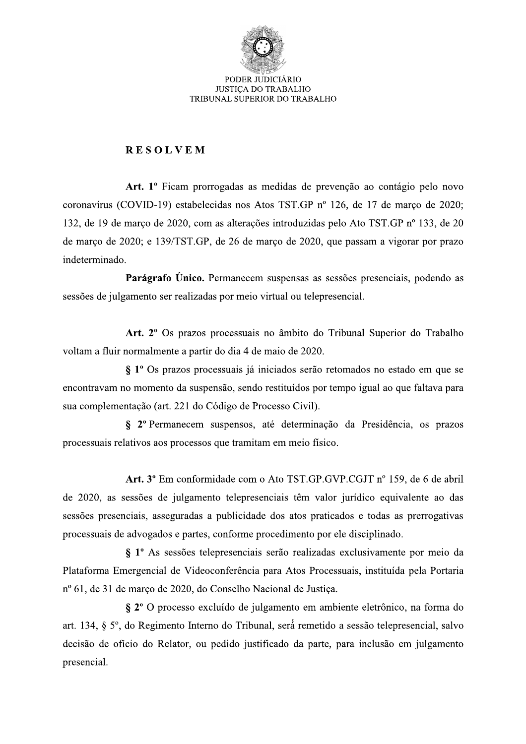

### **RESOLVEM**

Art. 1º Ficam prorrogadas as medidas de prevenção ao contágio pelo novo coronavírus (COVID-19) estabelecidas nos Atos TST.GP nº 126, de 17 de março de 2020; 132, de 19 de marco de 2020, com as alterações introduzidas pelo Ato TST.GP nº 133, de 20 de março de 2020; e 139/TST.GP, de 26 de março de 2020, que passam a vigorar por prazo indeterminado.

Parágrafo Único. Permanecem suspensas as sessões presenciais, podendo as sessões de julgamento ser realizadas por meio virtual ou telepresencial.

Art. 2° Os prazos processuais no âmbito do Tribunal Superior do Trabalho voltam a fluir normalmente a partir do dia 4 de maio de 2020.

§ 1<sup>°</sup> Os prazos processuais já iniciados serão retomados no estado em que se encontravam no momento da suspensão, sendo restituídos por tempo igual ao que faltava para sua complementação (art. 221 do Código de Processo Civil).

§ 2º Permanecem suspensos, até determinação da Presidência, os prazos processuais relativos aos processos que tramitam em meio físico.

Art. 3<sup>°</sup> Em conformidade com o Ato TST.GP.GVP.CGJT n° 159, de 6 de abril de 2020, as sessões de julgamento telepresenciais têm valor jurídico equivalente ao das sessões presenciais, asseguradas a publicidade dos atos praticados e todas as prerrogativas processuais de advogados e partes, conforme procedimento por ele disciplinado.

§ 1º As sessões telepresenciais serão realizadas exclusivamente por meio da Plataforma Emergencial de Videoconferência para Atos Processuais, instituída pela Portaria nº 61, de 31 de março de 2020, do Conselho Nacional de Justiça.

§ 2º O processo excluído de julgamento em ambiente eletrônico, na forma do art. 134, § 5°, do Regimento Interno do Tribunal, será remetido a sessão telepresencial, salvo decisão de ofício do Relator, ou pedido justificado da parte, para inclusão em julgamento presencial.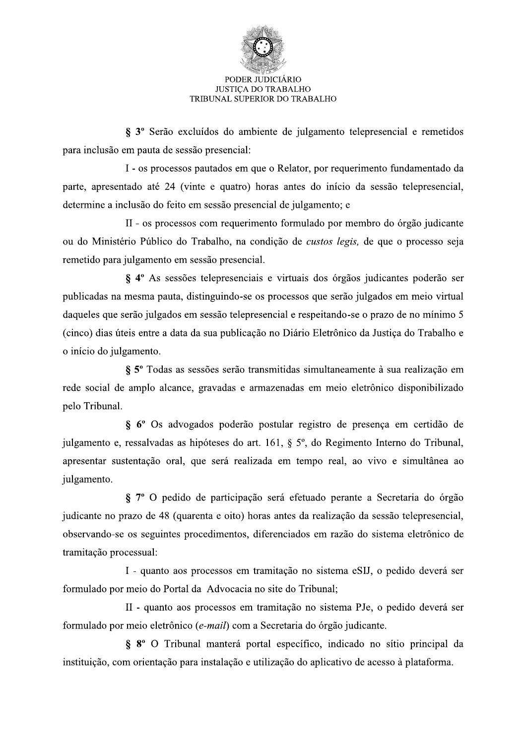

8 3º Serão excluídos do ambiente de julgamento telepresencial e remetidos para inclusão em pauta de sessão presencial:

I - os processos pautados em que o Relator, por requerimento fundamentado da parte, apresentado até 24 (vinte e quatro) horas antes do início da sessão telepresencial, determine a inclusão do feito em sessão presencial de julgamento; e

II - os processos com requerimento formulado por membro do órgão judicante ou do Ministério Público do Trabalho, na condição de *custos legis*, de que o processo seja remetido para julgamento em sessão presencial.

§ 4° As sessões telepresenciais e virtuais dos órgãos judicantes poderão ser publicadas na mesma pauta, distinguindo-se os processos que serão julgados em meio virtual daqueles que serão julgados em sessão telepresencial e respeitando-se o prazo de no mínimo 5 (cinco) dias úteis entre a data da sua publicação no Diário Eletrônico da Justiça do Trabalho e o início do julgamento.

§ 5° Todas as sessões serão transmitidas simultaneamente à sua realização em rede social de amplo alcance, gravadas e armazenadas em meio eletrônico disponibilizado pelo Tribunal.

§ 6º Os advogados poderão postular registro de presença em certidão de julgamento e, ressalvadas as hipóteses do art. 161, § 5°, do Regimento Interno do Tribunal, apresentar sustentação oral, que será realizada em tempo real, ao vivo e simultânea ao julgamento.

§ 7º O pedido de participação será efetuado perante a Secretaria do órgão judicante no prazo de 48 (quarenta e oito) horas antes da realização da sessão telepresencial, observando-se os seguintes procedimentos, diferenciados em razão do sistema eletrônico de tramitação processual:

I - quanto aos processos em tramitação no sistema eSIJ, o pedido deverá ser formulado por meio do Portal da Advocacia no site do Tribunal;

II - quanto aos processos em tramitação no sistema PJe, o pedido deverá ser formulado por meio eletrônico (e-mail) com a Secretaria do órgão judicante.

§ 8° O Tribunal manterá portal específico, indicado no sítio principal da instituição, com orientação para instalação e utilização do aplicativo de acesso à plataforma.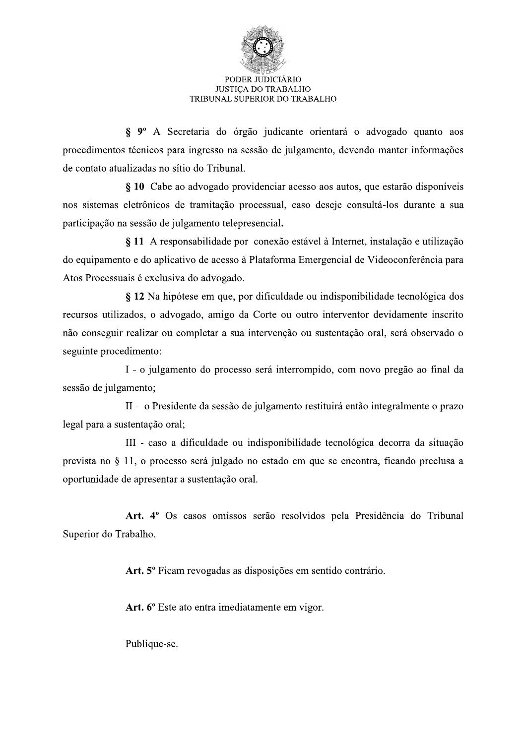

§ 9º A Secretaria do órgão judicante orientará o advogado quanto aos procedimentos técnicos para ingresso na sessão de julgamento, devendo manter informações de contato atualizadas no sítio do Tribunal.

§ 10 Cabe ao advogado providenciar acesso aos autos, que estarão disponíveis nos sistemas eletrônicos de tramitação processual, caso deseje consultá-los durante a sua participação na sessão de julgamento telepresencial.

§ 11 A responsabilidade por conexão estável à Internet, instalação e utilização do equipamento e do aplicativo de acesso à Plataforma Emergencial de Videoconferência para Atos Processuais é exclusiva do advogado.

§ 12 Na hipótese em que, por dificuldade ou indisponibilidade tecnológica dos recursos utilizados, o advogado, amigo da Corte ou outro interventor devidamente inscrito não conseguir realizar ou completar a sua intervenção ou sustentação oral, será observado o seguinte procedimento:

I - o julgamento do processo será interrompido, com novo pregão ao final da sessão de julgamento;

II - o Presidente da sessão de julgamento restituirá então integralmente o prazo legal para a sustentação oral;

III - caso a dificuldade ou indisponibilidade tecnológica decorra da situação prevista no § 11, o processo será julgado no estado em que se encontra, ficando preclusa a oportunidade de apresentar a sustentação oral.

Art. 4º Os casos omissos serão resolvidos pela Presidência do Tribunal Superior do Trabalho.

Art. 5º Ficam revogadas as disposições em sentido contrário.

Art. 6<sup>°</sup> Este ato entra imediatamente em vigor.

Publique-se.